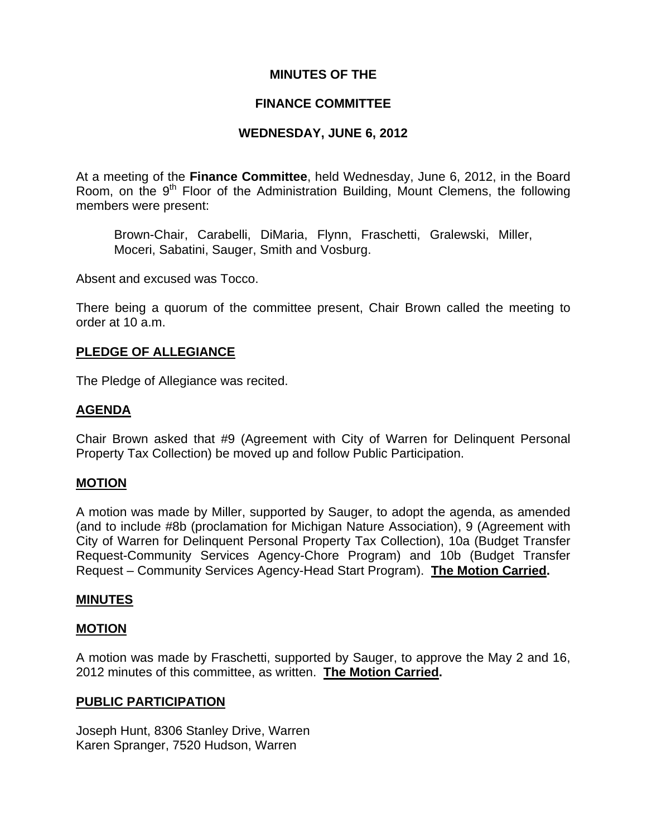## **MINUTES OF THE**

## **FINANCE COMMITTEE**

## **WEDNESDAY, JUNE 6, 2012**

At a meeting of the **Finance Committee**, held Wednesday, June 6, 2012, in the Board Room, on the 9<sup>th</sup> Floor of the Administration Building, Mount Clemens, the following members were present:

Brown-Chair, Carabelli, DiMaria, Flynn, Fraschetti, Gralewski, Miller, Moceri, Sabatini, Sauger, Smith and Vosburg.

Absent and excused was Tocco.

There being a quorum of the committee present, Chair Brown called the meeting to order at 10 a.m.

## **PLEDGE OF ALLEGIANCE**

The Pledge of Allegiance was recited.

## **AGENDA**

Chair Brown asked that #9 (Agreement with City of Warren for Delinquent Personal Property Tax Collection) be moved up and follow Public Participation.

#### **MOTION**

A motion was made by Miller, supported by Sauger, to adopt the agenda, as amended (and to include #8b (proclamation for Michigan Nature Association), 9 (Agreement with City of Warren for Delinquent Personal Property Tax Collection), 10a (Budget Transfer Request-Community Services Agency-Chore Program) and 10b (Budget Transfer Request – Community Services Agency-Head Start Program). **The Motion Carried.** 

#### **MINUTES**

#### **MOTION**

A motion was made by Fraschetti, supported by Sauger, to approve the May 2 and 16, 2012 minutes of this committee, as written. **The Motion Carried.** 

#### **PUBLIC PARTICIPATION**

Joseph Hunt, 8306 Stanley Drive, Warren Karen Spranger, 7520 Hudson, Warren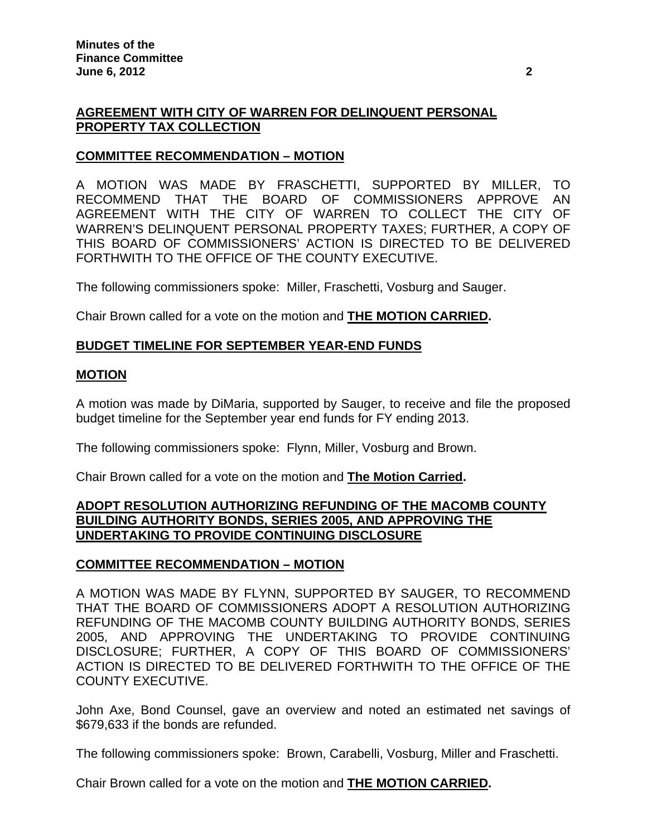# **AGREEMENT WITH CITY OF WARREN FOR DELINQUENT PERSONAL PROPERTY TAX COLLECTION**

# **COMMITTEE RECOMMENDATION – MOTION**

A MOTION WAS MADE BY FRASCHETTI, SUPPORTED BY MILLER, TO RECOMMEND THAT THE BOARD OF COMMISSIONERS APPROVE AN AGREEMENT WITH THE CITY OF WARREN TO COLLECT THE CITY OF WARREN'S DELINQUENT PERSONAL PROPERTY TAXES; FURTHER, A COPY OF THIS BOARD OF COMMISSIONERS' ACTION IS DIRECTED TO BE DELIVERED FORTHWITH TO THE OFFICE OF THE COUNTY EXECUTIVE.

The following commissioners spoke: Miller, Fraschetti, Vosburg and Sauger.

Chair Brown called for a vote on the motion and **THE MOTION CARRIED.**

## **BUDGET TIMELINE FOR SEPTEMBER YEAR-END FUNDS**

## **MOTION**

A motion was made by DiMaria, supported by Sauger, to receive and file the proposed budget timeline for the September year end funds for FY ending 2013.

The following commissioners spoke: Flynn, Miller, Vosburg and Brown.

Chair Brown called for a vote on the motion and **The Motion Carried.** 

## **ADOPT RESOLUTION AUTHORIZING REFUNDING OF THE MACOMB COUNTY BUILDING AUTHORITY BONDS, SERIES 2005, AND APPROVING THE UNDERTAKING TO PROVIDE CONTINUING DISCLOSURE**

#### **COMMITTEE RECOMMENDATION – MOTION**

A MOTION WAS MADE BY FLYNN, SUPPORTED BY SAUGER, TO RECOMMEND THAT THE BOARD OF COMMISSIONERS ADOPT A RESOLUTION AUTHORIZING REFUNDING OF THE MACOMB COUNTY BUILDING AUTHORITY BONDS, SERIES 2005, AND APPROVING THE UNDERTAKING TO PROVIDE CONTINUING DISCLOSURE; FURTHER, A COPY OF THIS BOARD OF COMMISSIONERS' ACTION IS DIRECTED TO BE DELIVERED FORTHWITH TO THE OFFICE OF THE COUNTY EXECUTIVE.

John Axe, Bond Counsel, gave an overview and noted an estimated net savings of \$679,633 if the bonds are refunded.

The following commissioners spoke: Brown, Carabelli, Vosburg, Miller and Fraschetti.

Chair Brown called for a vote on the motion and **THE MOTION CARRIED.**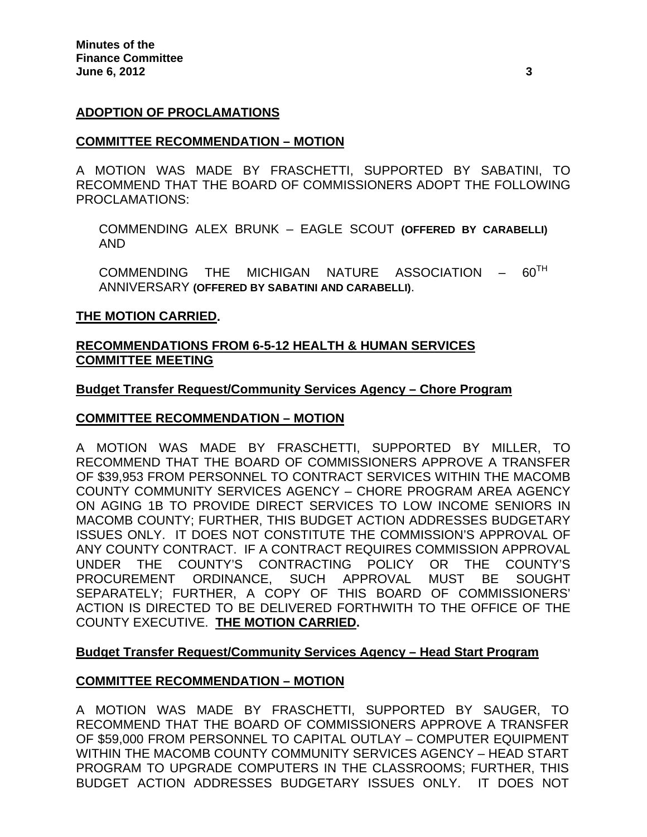### **ADOPTION OF PROCLAMATIONS**

#### **COMMITTEE RECOMMENDATION – MOTION**

A MOTION WAS MADE BY FRASCHETTI, SUPPORTED BY SABATINI, TO RECOMMEND THAT THE BOARD OF COMMISSIONERS ADOPT THE FOLLOWING PROCLAMATIONS:

COMMENDING ALEX BRUNK – EAGLE SCOUT **(OFFERED BY CARABELLI)**  AND

COMMENDING THE MICHIGAN NATURE ASSOCIATION  $- 60^{TH}$ ANNIVERSARY **(OFFERED BY SABATINI AND CARABELLI)**.

#### **THE MOTION CARRIED.**

### **RECOMMENDATIONS FROM 6-5-12 HEALTH & HUMAN SERVICES COMMITTEE MEETING**

#### **Budget Transfer Request/Community Services Agency – Chore Program**

#### **COMMITTEE RECOMMENDATION – MOTION**

A MOTION WAS MADE BY FRASCHETTI, SUPPORTED BY MILLER, TO RECOMMEND THAT THE BOARD OF COMMISSIONERS APPROVE A TRANSFER OF \$39,953 FROM PERSONNEL TO CONTRACT SERVICES WITHIN THE MACOMB COUNTY COMMUNITY SERVICES AGENCY – CHORE PROGRAM AREA AGENCY ON AGING 1B TO PROVIDE DIRECT SERVICES TO LOW INCOME SENIORS IN MACOMB COUNTY; FURTHER, THIS BUDGET ACTION ADDRESSES BUDGETARY ISSUES ONLY. IT DOES NOT CONSTITUTE THE COMMISSION'S APPROVAL OF ANY COUNTY CONTRACT. IF A CONTRACT REQUIRES COMMISSION APPROVAL UNDER THE COUNTY'S CONTRACTING POLICY OR THE COUNTY'S PROCUREMENT ORDINANCE, SUCH APPROVAL MUST BE SOUGHT SEPARATELY; FURTHER, A COPY OF THIS BOARD OF COMMISSIONERS' ACTION IS DIRECTED TO BE DELIVERED FORTHWITH TO THE OFFICE OF THE COUNTY EXECUTIVE. **THE MOTION CARRIED.** 

#### **Budget Transfer Request/Community Services Agency – Head Start Program**

#### **COMMITTEE RECOMMENDATION – MOTION**

A MOTION WAS MADE BY FRASCHETTI, SUPPORTED BY SAUGER, TO RECOMMEND THAT THE BOARD OF COMMISSIONERS APPROVE A TRANSFER OF \$59,000 FROM PERSONNEL TO CAPITAL OUTLAY – COMPUTER EQUIPMENT WITHIN THE MACOMB COUNTY COMMUNITY SERVICES AGENCY – HEAD START PROGRAM TO UPGRADE COMPUTERS IN THE CLASSROOMS; FURTHER, THIS BUDGET ACTION ADDRESSES BUDGETARY ISSUES ONLY. IT DOES NOT